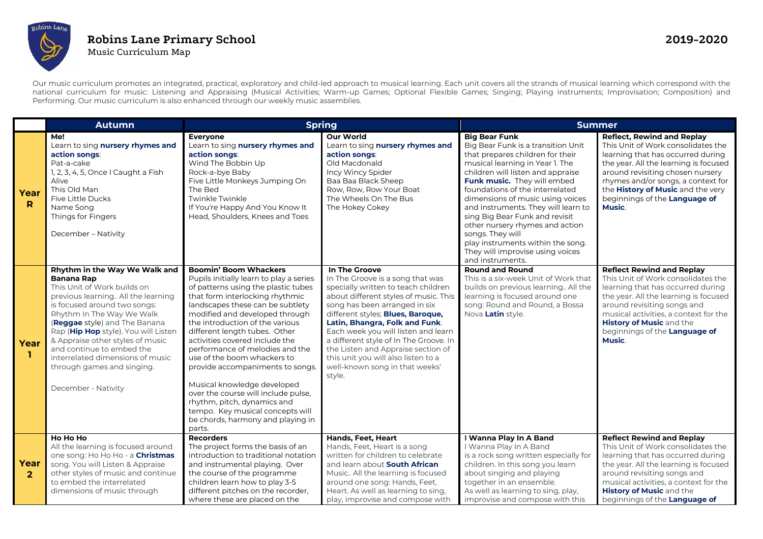

## **Robins Lane Primary School 2019-2020**  Music Curriculum Map

Our music curriculum promotes an integrated, practical, exploratory and child-led approach to musical learning. Each unit covers all the strands of musical learning which correspond with the national curriculum for music: Listening and Appraising (Musical Activities; Warm-up Games; Optional Flexible Games; Singing; Playing instruments; Improvisation; Composition) and Performing. Our music curriculum is also enhanced through our weekly music assemblies.

|                        | <b>Autumn</b>                                                                                                                                                                                                                                                                                                                                                                                                           | <b>Spring</b>                                                                                                                                                                                                                                                                                                                                                                                                                                                                                                                                                                                                              |                                                                                                                                                                                                                                                                                                                                                                                                                                                     | <b>Summer</b>                                                                                                                                                                                                                                                                                                                                                                                                                                                                                             |                                                                                                                                                                                                                                                                                                                 |
|------------------------|-------------------------------------------------------------------------------------------------------------------------------------------------------------------------------------------------------------------------------------------------------------------------------------------------------------------------------------------------------------------------------------------------------------------------|----------------------------------------------------------------------------------------------------------------------------------------------------------------------------------------------------------------------------------------------------------------------------------------------------------------------------------------------------------------------------------------------------------------------------------------------------------------------------------------------------------------------------------------------------------------------------------------------------------------------------|-----------------------------------------------------------------------------------------------------------------------------------------------------------------------------------------------------------------------------------------------------------------------------------------------------------------------------------------------------------------------------------------------------------------------------------------------------|-----------------------------------------------------------------------------------------------------------------------------------------------------------------------------------------------------------------------------------------------------------------------------------------------------------------------------------------------------------------------------------------------------------------------------------------------------------------------------------------------------------|-----------------------------------------------------------------------------------------------------------------------------------------------------------------------------------------------------------------------------------------------------------------------------------------------------------------|
| Year<br>R              | Me!<br>Learn to sing nursery rhymes and<br>action songs:<br>Pat-a-cake<br>1, 2, 3, 4, 5, Once I Caught a Fish<br>Alive<br>This Old Man<br>Five Little Ducks<br>Name Song<br>Things for Fingers<br>December - Nativity                                                                                                                                                                                                   | Everyone<br>Learn to sing nursery rhymes and<br>action songs:<br>Wind The Bobbin Up<br>Rock-a-bye Baby<br>Five Little Monkeys Jumping On<br>The Bed<br><b>Twinkle Twinkle</b><br>If You're Happy And You Know It<br>Head, Shoulders, Knees and Toes                                                                                                                                                                                                                                                                                                                                                                        | <b>Our World</b><br>Learn to sing nursery rhymes and<br>action songs:<br>Old Macdonald<br>Incy Wincy Spider<br>Baa Baa Black Sheep<br>Row, Row, Row Your Boat<br>The Wheels On The Bus<br>The Hokey Cokey                                                                                                                                                                                                                                           | <b>Big Bear Funk</b><br>Big Bear Funk is a transition Unit<br>that prepares children for their<br>musical learning in Year 1. The<br>children will listen and appraise<br>Funk music. They will embed<br>foundations of the interrelated<br>dimensions of music using voices<br>and instruments. They will learn to<br>sing Big Bear Funk and revisit<br>other nursery rhymes and action<br>songs. They will<br>play instruments within the song.<br>They will improvise using voices<br>and instruments. | <b>Reflect, Rewind and Replay</b><br>This Unit of Work consolidates the<br>learning that has occurred during<br>the year. All the learning is focused<br>around revisiting chosen nursery<br>rhymes and/or songs, a context for<br>the History of Music and the very<br>beginnings of the Language of<br>Music. |
| Year<br>п              | Rhythm in the Way We Walk and<br><b>Banana Rap</b><br>This Unit of Work builds on<br>previous learning All the learning<br>is focused around two songs:<br>Rhythm In The Way We Walk<br>(Reggae style) and The Banana<br>Rap (Hip Hop style). You will Listen<br>& Appraise other styles of music<br>and continue to embed the<br>interrelated dimensions of music<br>through games and singing.<br>December - Nativity | <b>Boomin' Boom Whackers</b><br>Pupils initially learn to play a series<br>of patterns using the plastic tubes<br>that form interlocking rhythmic<br>landscapes these can be subtlety<br>modified and developed through<br>the introduction of the various<br>different length tubes. Other<br>activities covered include the<br>performance of melodies and the<br>use of the boom whackers to<br>provide accompaniments to songs<br>Musical knowledge developed<br>over the course will include pulse.<br>rhythm, pitch, dynamics and<br>tempo. Key musical concepts will<br>be chords, harmony and playing in<br>parts. | In The Groove<br>In The Groove is a song that was<br>specially written to teach children<br>about different styles of music. This<br>song has been arranged in six<br>different styles; Blues, Baroque,<br>Latin, Bhangra, Folk and Funk.<br>Each week you will listen and learn<br>a different style of In The Groove. In<br>the Listen and Appraise section of<br>this unit you will also listen to a<br>well-known song in that weeks'<br>style. | <b>Round and Round</b><br>This is a six-week Unit of Work that<br>builds on previous learning All the<br>learning is focused around one<br>song: Round and Round, a Bossa<br>Nova Latin style.                                                                                                                                                                                                                                                                                                            | <b>Reflect Rewind and Replay</b><br>This Unit of Work consolidates the<br>learning that has occurred during<br>the year. All the learning is focused<br>around revisiting songs and<br>musical activities, a context for the<br>History of Music and the<br>beginnings of the Language of<br><b>Music.</b>      |
| Year<br>$\overline{2}$ | Ho Ho Ho<br>All the learning is focused around<br>one song: Ho Ho Ho - a <b>Christmas</b><br>song. You will Listen & Appraise<br>other styles of music and continue<br>to embed the interrelated<br>dimensions of music through                                                                                                                                                                                         | Recorders<br>The project forms the basis of an<br>introduction to traditional notation<br>and instrumental playing. Over<br>the course of the programme<br>children learn how to play 3-5<br>different pitches on the recorder,<br>where these are placed on the                                                                                                                                                                                                                                                                                                                                                           | Hands, Feet, Heart<br>Hands, Feet, Heart is a song<br>written for children to celebrate<br>and learn about South African<br>Music All the learning is focused<br>around one song: Hands, Feet,<br>Heart. As well as learning to sing,<br>play, improvise and compose with                                                                                                                                                                           | I Wanna Play In A Band<br>I Wanna Play In A Band<br>is a rock song written especially for<br>children. In this song you learn<br>about singing and playing<br>together in an ensemble.<br>As well as learning to sing, play,<br>improvise and compose with this                                                                                                                                                                                                                                           | <b>Reflect Rewind and Replay</b><br>This Unit of Work consolidates the<br>learning that has occurred during<br>the year. All the learning is focused<br>around revisiting songs and<br>musical activities, a context for the<br><b>History of Music and the</b><br>beginnings of the Language of                |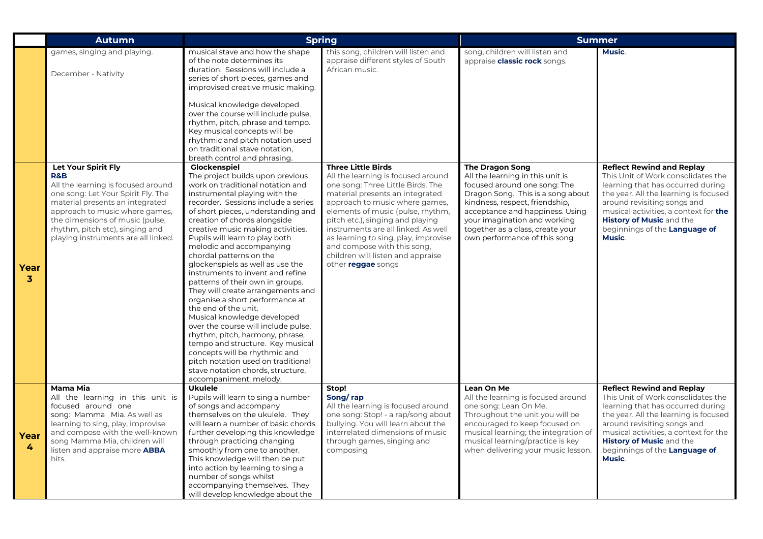|                      | <b>Autumn</b>                                                                                                                                                                                                                                                                                       | <b>Spring</b>                                                                                                                                                                                                                                                                                                                                                                                                                                                                                                                                                                                                                                                                                                                                                                                                                                                   |                                                                                                                                                                                                                                                                                                                                                                                                                                    | <b>Summer</b>                                                                                                                                                                                                                                                                                            |                                                                                                                                                                                                                                                                                                                          |
|----------------------|-----------------------------------------------------------------------------------------------------------------------------------------------------------------------------------------------------------------------------------------------------------------------------------------------------|-----------------------------------------------------------------------------------------------------------------------------------------------------------------------------------------------------------------------------------------------------------------------------------------------------------------------------------------------------------------------------------------------------------------------------------------------------------------------------------------------------------------------------------------------------------------------------------------------------------------------------------------------------------------------------------------------------------------------------------------------------------------------------------------------------------------------------------------------------------------|------------------------------------------------------------------------------------------------------------------------------------------------------------------------------------------------------------------------------------------------------------------------------------------------------------------------------------------------------------------------------------------------------------------------------------|----------------------------------------------------------------------------------------------------------------------------------------------------------------------------------------------------------------------------------------------------------------------------------------------------------|--------------------------------------------------------------------------------------------------------------------------------------------------------------------------------------------------------------------------------------------------------------------------------------------------------------------------|
|                      | games, singing and playing.<br>December - Nativity                                                                                                                                                                                                                                                  | musical stave and how the shape<br>of the note determines its<br>duration. Sessions will include a<br>series of short pieces, games and<br>improvised creative music making.<br>Musical knowledge developed<br>over the course will include pulse,<br>rhythm, pitch, phrase and tempo.<br>Key musical concepts will be<br>rhythmic and pitch notation used<br>on traditional stave notation,<br>breath control and phrasing.                                                                                                                                                                                                                                                                                                                                                                                                                                    | this song, children will listen and<br>appraise different styles of South<br>African music.                                                                                                                                                                                                                                                                                                                                        | song, children will listen and<br>appraise <b>classic rock</b> songs.                                                                                                                                                                                                                                    | <b>Music.</b>                                                                                                                                                                                                                                                                                                            |
| Year<br>$\mathbf{3}$ | Let Your Spirit Fly<br><b>R&amp;B</b><br>All the learning is focused around<br>one song: Let Your Spirit Fly. The<br>material presents an integrated<br>approach to music where games,<br>the dimensions of music (pulse,<br>rhythm, pitch etc), singing and<br>playing instruments are all linked. | Glockenspiel<br>The project builds upon previous<br>work on traditional notation and<br>instrumental playing with the<br>recorder. Sessions include a series<br>of short pieces, understanding and<br>creation of chords alongside<br>creative music making activities.<br>Pupils will learn to play both<br>melodic and accompanying<br>chordal patterns on the<br>glockenspiels as well as use the<br>instruments to invent and refine<br>patterns of their own in groups.<br>They will create arrangements and<br>organise a short performance at<br>the end of the unit.<br>Musical knowledge developed<br>over the course will include pulse,<br>rhythm, pitch, harmony, phrase,<br>tempo and structure. Key musical<br>concepts will be rhythmic and<br>pitch notation used on traditional<br>stave notation chords, structure,<br>accompaniment, melody. | <b>Three Little Birds</b><br>All the learning is focused around<br>one song: Three Little Birds. The<br>material presents an integrated<br>approach to music where games,<br>elements of music (pulse, rhythm,<br>pitch etc.), singing and playing<br>instruments are all linked. As well<br>as learning to sing, play, improvise<br>and compose with this song,<br>children will listen and appraise<br>other <b>reggae</b> songs | <b>The Dragon Song</b><br>All the learning in this unit is<br>focused around one song: The<br>Dragon Song. This is a song about<br>kindness, respect, friendship,<br>acceptance and happiness. Using<br>your imagination and working<br>together as a class, create your<br>own performance of this song | <b>Reflect Rewind and Replay</b><br>This Unit of Work consolidates the<br>learning that has occurred during<br>the year. All the learning is focused<br>around revisiting songs and<br>musical activities, a context for <b>the</b><br><b>History of Music and the</b><br>beginnings of the Language of<br><b>Music.</b> |
| Year<br>4            | Mama Mia<br>All the learning in this unit is<br>focused around one<br>song: Mamma Mia. As well as<br>learning to sing, play, improvise<br>and compose with the well-known<br>song Mamma Mia, children will<br>listen and appraise more ABBA<br>hits.                                                | <b>Ukulele</b><br>Pupils will learn to sing a number<br>of songs and accompany<br>themselves on the ukulele. They<br>will learn a number of basic chords<br>further developing this knowledge<br>through practicing changing<br>smoothly from one to another.<br>This knowledge will then be put<br>into action by learning to sing a<br>number of songs whilst<br>accompanying themselves. They<br>will develop knowledge about the                                                                                                                                                                                                                                                                                                                                                                                                                            | Stop!<br>Song/rap<br>All the learning is focused around<br>one song: Stop! - a rap/song about<br>bullving. You will learn about the<br>interrelated dimensions of music<br>through games, singing and<br>composing                                                                                                                                                                                                                 | Lean On Me<br>All the learning is focused around<br>one song: Lean On Me.<br>Throughout the unit you will be<br>encouraged to keep focused on<br>musical learning; the integration of<br>musical learning/practice is key<br>when delivering your music lesson.                                          | <b>Reflect Rewind and Replay</b><br>This Unit of Work consolidates the<br>learning that has occurred during<br>the year. All the learning is focused<br>around revisiting songs and<br>musical activities, a context for the<br><b>History of Music and the</b><br>beginnings of the Language of<br>Music.               |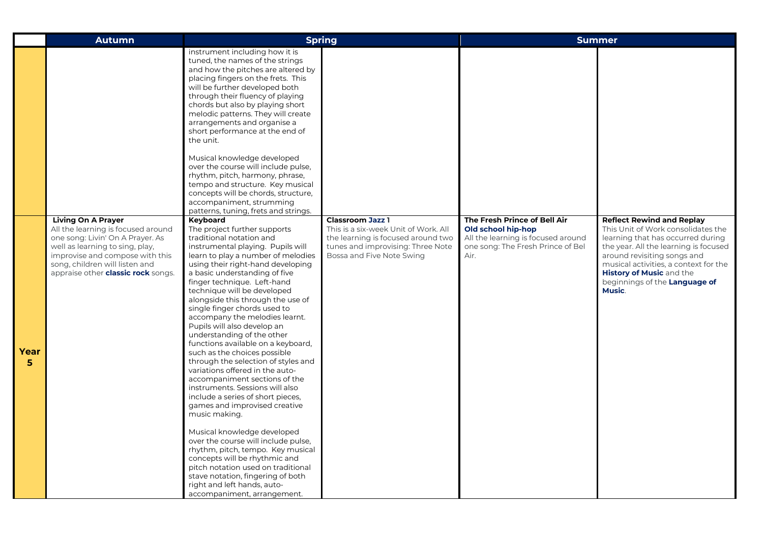|           | <b>Autumn</b>                                                                                                                                                                                                                                            | <b>Spring</b>                                                                                                                                                                                                                                                                                                                                                                                                                                                                                                                                                                                                                                                                                                                                                                                                                                                                                                                                                                                                                                                                                                                                                                                                                                                                                                                                                                                                                                                                                                                                                                                                                                                                                   |                                                                                                                                                                         | <b>Summer</b>                                                                                                                         |                                                                                                                                                                                                                                                                                                            |
|-----------|----------------------------------------------------------------------------------------------------------------------------------------------------------------------------------------------------------------------------------------------------------|-------------------------------------------------------------------------------------------------------------------------------------------------------------------------------------------------------------------------------------------------------------------------------------------------------------------------------------------------------------------------------------------------------------------------------------------------------------------------------------------------------------------------------------------------------------------------------------------------------------------------------------------------------------------------------------------------------------------------------------------------------------------------------------------------------------------------------------------------------------------------------------------------------------------------------------------------------------------------------------------------------------------------------------------------------------------------------------------------------------------------------------------------------------------------------------------------------------------------------------------------------------------------------------------------------------------------------------------------------------------------------------------------------------------------------------------------------------------------------------------------------------------------------------------------------------------------------------------------------------------------------------------------------------------------------------------------|-------------------------------------------------------------------------------------------------------------------------------------------------------------------------|---------------------------------------------------------------------------------------------------------------------------------------|------------------------------------------------------------------------------------------------------------------------------------------------------------------------------------------------------------------------------------------------------------------------------------------------------------|
| Year<br>5 | <b>Living On A Prayer</b><br>All the learning is focused around<br>one song: Livin' On A Prayer. As<br>well as learning to sing, play,<br>improvise and compose with this<br>song, children will listen and<br>appraise other <b>classic rock</b> songs. | instrument including how it is<br>tuned, the names of the strings<br>and how the pitches are altered by<br>placing fingers on the frets. This<br>will be further developed both<br>through their fluency of playing<br>chords but also by playing short<br>melodic patterns. They will create<br>arrangements and organise a<br>short performance at the end of<br>the unit.<br>Musical knowledge developed<br>over the course will include pulse,<br>rhythm, pitch, harmony, phrase,<br>tempo and structure. Key musical<br>concepts will be chords, structure,<br>accompaniment, strumming<br>patterns, tuning, frets and strings.<br>Keyboard<br>The project further supports<br>traditional notation and<br>instrumental playing. Pupils will<br>learn to play a number of melodies<br>using their right-hand developing<br>a basic understanding of five<br>finger technique. Left-hand<br>technique will be developed<br>alongside this through the use of<br>single finger chords used to<br>accompany the melodies learnt.<br>Pupils will also develop an<br>understanding of the other<br>functions available on a keyboard,<br>such as the choices possible<br>through the selection of styles and<br>variations offered in the auto-<br>accompaniment sections of the<br>instruments. Sessions will also<br>include a series of short pieces,<br>games and improvised creative<br>music making.<br>Musical knowledge developed<br>over the course will include pulse,<br>rhythm, pitch, tempo. Key musical<br>concepts will be rhythmic and<br>pitch notation used on traditional<br>stave notation, fingering of both<br>right and left hands, auto-<br>accompaniment, arrangement. | <b>Classroom Jazz 1</b><br>This is a six-week Unit of Work. All<br>the learning is focused around two<br>tunes and improvising: Three Note<br>Bossa and Five Note Swing | The Fresh Prince of Bell Air<br>Old school hip-hop<br>All the learning is focused around<br>one song: The Fresh Prince of Bel<br>Air. | <b>Reflect Rewind and Replay</b><br>This Unit of Work consolidates the<br>learning that has occurred during<br>the year. All the learning is focused<br>around revisiting songs and<br>musical activities, a context for the<br><b>History of Music and the</b><br>beginnings of the Language of<br>Music. |